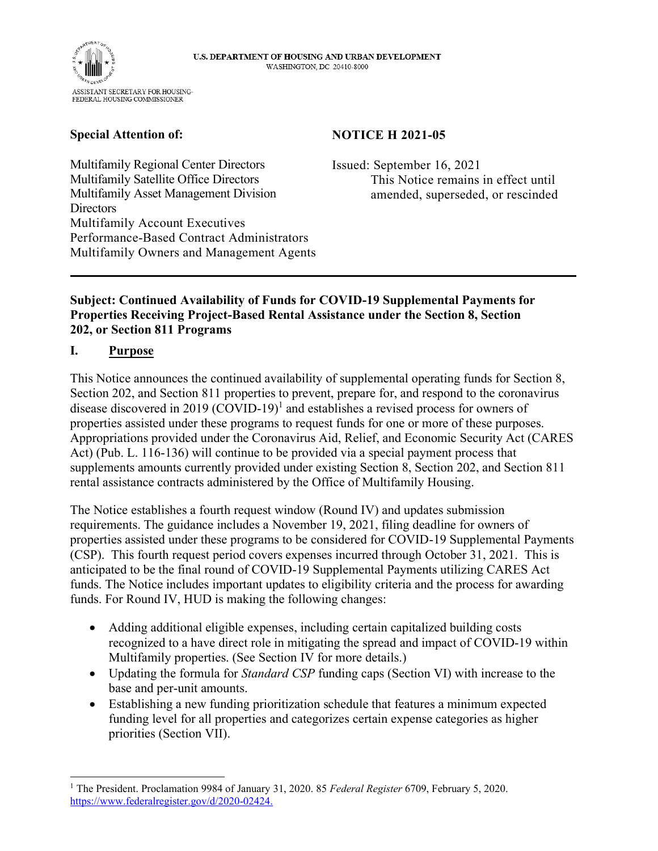

## **Special Attention of:**

### **NOTICE H 2021-05**

Multifamily Regional Center Directors Multifamily Satellite Office Directors Multifamily Asset Management Division **Directors** Multifamily Account Executives Performance-Based Contract Administrators Multifamily Owners and Management Agents Issued: September 16, 2021 This Notice remains in effect until amended, superseded, or rescinded

### **Subject: Continued Availability of Funds for COVID-19 Supplemental Payments for Properties Receiving Project-Based Rental Assistance under the Section 8, Section 202, or Section 811 Programs**

## **I. Purpose**

This Notice announces the continued availability of supplemental operating funds for Section 8, Section 202, and Section 811 properties to prevent, prepare for, and respond to the coronavirus disease discovered in 2019  $(COVID-19)^1$  and establishes a revised process for owners of properties assisted under these programs to request funds for one or more of these purposes. Appropriations provided under the Coronavirus Aid, Relief, and Economic Security Act (CARES Act) (Pub. L. 116-136) will continue to be provided via a special payment process that supplements amounts currently provided under existing Section 8, Section 202, and Section 811 rental assistance contracts administered by the Office of Multifamily Housing.

The Notice establishes a fourth request window (Round IV) and updates submission requirements. The guidance includes a November 19, 2021, filing deadline for owners of properties assisted under these programs to be considered for COVID-19 Supplemental Payments (CSP). This fourth request period covers expenses incurred through October 31, 2021. This is anticipated to be the final round of COVID-19 Supplemental Payments utilizing CARES Act funds. The Notice includes important updates to eligibility criteria and the process for awarding funds. For Round IV, HUD is making the following changes:

- Adding additional eligible expenses, including certain capitalized building costs recognized to a have direct role in mitigating the spread and impact of COVID-19 within Multifamily properties. (See Section IV for more details.)
- Updating the formula for *Standard CSP* funding caps (Section VI) with increase to the base and per-unit amounts.
- Establishing a new funding prioritization schedule that features a minimum expected funding level for all properties and categorizes certain expense categories as higher priorities (Section VII).

<sup>1</sup> The President. Proclamation 9984 of January 31, 2020. 85 *Federal Register* 6709, February 5, 2020. [https://www.federalregister.gov/d/2020-02424.](https://www.federalregister.gov/d/2020-02424)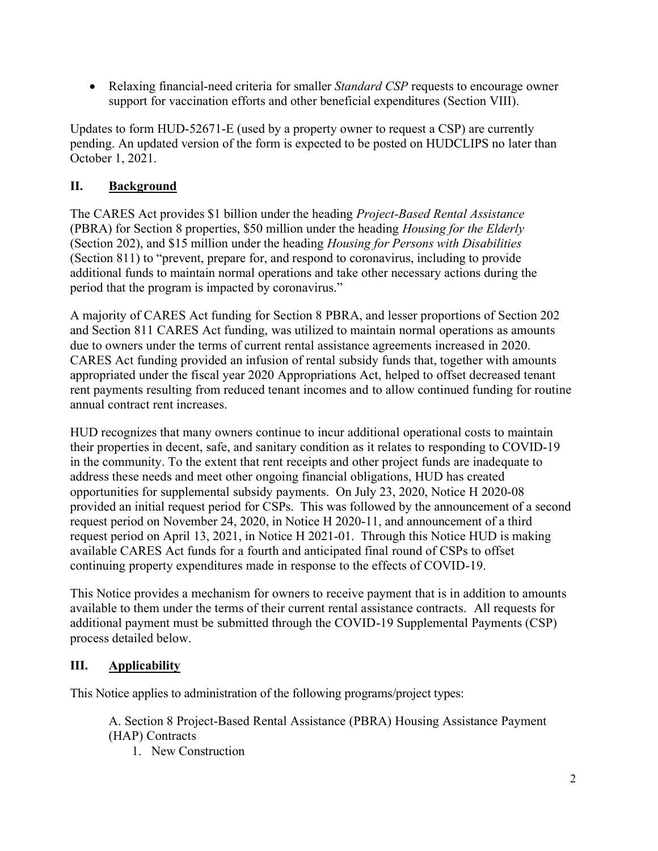• Relaxing financial-need criteria for smaller *Standard CSP* requests to encourage owner support for vaccination efforts and other beneficial expenditures (Section VIII).

Updates to form HUD-52671-E (used by a property owner to request a CSP) are currently pending. An updated version of the form is expected to be posted on HUDCLIPS no later than October 1, 2021.

# **II. Background**

The CARES Act provides \$1 billion under the heading *Project-Based Rental Assistance*  (PBRA) for Section 8 properties, \$50 million under the heading *Housing for the Elderly*  (Section 202), and \$15 million under the heading *Housing for Persons with Disabilities*  (Section 811) to "prevent, prepare for, and respond to coronavirus, including to provide additional funds to maintain normal operations and take other necessary actions during the period that the program is impacted by coronavirus."

A majority of CARES Act funding for Section 8 PBRA, and lesser proportions of Section 202 and Section 811 CARES Act funding, was utilized to maintain normal operations as amounts due to owners under the terms of current rental assistance agreements increased in 2020. CARES Act funding provided an infusion of rental subsidy funds that, together with amounts appropriated under the fiscal year 2020 Appropriations Act, helped to offset decreased tenant rent payments resulting from reduced tenant incomes and to allow continued funding for routine annual contract rent increases.

HUD recognizes that many owners continue to incur additional operational costs to maintain their properties in decent, safe, and sanitary condition as it relates to responding to COVID-19 in the community. To the extent that rent receipts and other project funds are inadequate to address these needs and meet other ongoing financial obligations, HUD has created opportunities for supplemental subsidy payments. On July 23, 2020, Notice H 2020-08 provided an initial request period for CSPs. This was followed by the announcement of a second request period on November 24, 2020, in Notice H 2020-11, and announcement of a third request period on April 13, 2021, in Notice H 2021-01. Through this Notice HUD is making available CARES Act funds for a fourth and anticipated final round of CSPs to offset continuing property expenditures made in response to the effects of COVID-19.

This Notice provides a mechanism for owners to receive payment that is in addition to amounts available to them under the terms of their current rental assistance contracts. All requests for additional payment must be submitted through the COVID-19 Supplemental Payments (CSP) process detailed below.

# **III. Applicability**

This Notice applies to administration of the following programs/project types:

A. Section 8 Project-Based Rental Assistance (PBRA) Housing Assistance Payment (HAP) Contracts

1. New Construction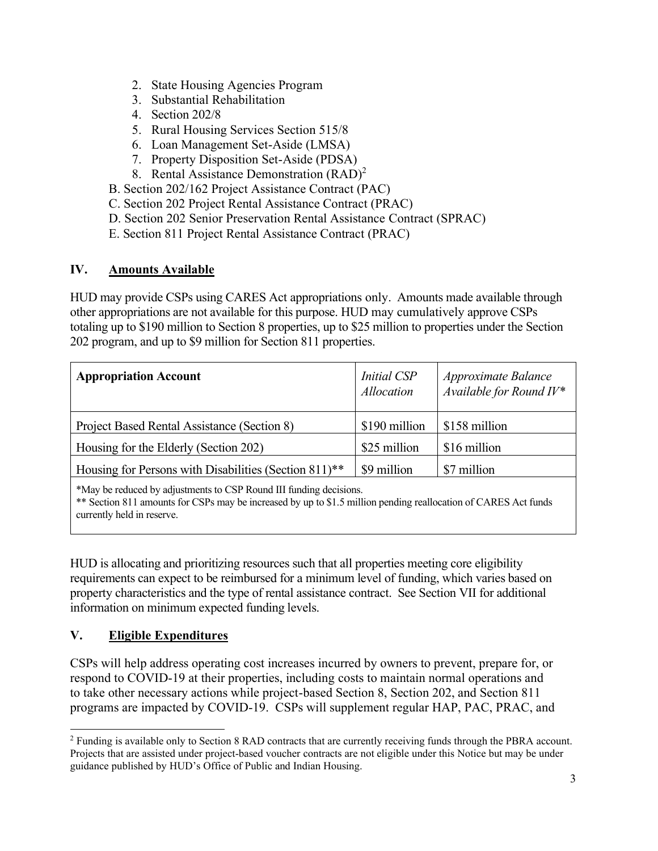- 2. State Housing Agencies Program
- 3. Substantial Rehabilitation
- 4. Section 202/8
- 5. Rural Housing Services Section 515/8
- 6. Loan Management Set-Aside (LMSA)
- 7. Property Disposition Set-Aside (PDSA)
- 8. Rental Assistance Demonstration (RAD)<sup>2</sup>

B. Section 202/162 Project Assistance Contract (PAC)

- C. Section 202 Project Rental Assistance Contract (PRAC)
- D. Section 202 Senior Preservation Rental Assistance Contract (SPRAC)
- E. Section 811 Project Rental Assistance Contract (PRAC)

## **IV. Amounts Available**

HUD may provide CSPs using CARES Act appropriations only. Amounts made available through other appropriations are not available for this purpose. HUD may cumulatively approve CSPs totaling up to \$190 million to Section 8 properties, up to \$25 million to properties under the Section 202 program, and up to \$9 million for Section 811 properties.

| <b>Appropriation Account</b>                          | <b>Initial CSP</b><br>Allocation | Approximate Balance<br>Available for Round $I V^*$ |
|-------------------------------------------------------|----------------------------------|----------------------------------------------------|
| Project Based Rental Assistance (Section 8)           | \$190 million                    | \$158 million                                      |
| Housing for the Elderly (Section 202)                 | \$25 million                     | \$16 million                                       |
| Housing for Persons with Disabilities (Section 811)** | \$9 million                      | \$7 million                                        |
|                                                       |                                  |                                                    |

\*May be reduced by adjustments to CSP Round III funding decisions.

\*\* Section 811 amounts for CSPs may be increased by up to \$1.5 million pending reallocation of CARES Act funds currently held in reserve.

HUD is allocating and prioritizing resources such that all properties meeting core eligibility requirements can expect to be reimbursed for a minimum level of funding, which varies based on property characteristics and the type of rental assistance contract. See Section VII for additional information on minimum expected funding levels.

# **V. Eligible Expenditures**

CSPs will help address operating cost increases incurred by owners to prevent, prepare for, or respond to COVID-19 at their properties, including costs to maintain normal operations and to take other necessary actions while project-based Section 8, Section 202, and Section 811 programs are impacted by COVID-19. CSPs will supplement regular HAP, PAC, PRAC, and

<sup>&</sup>lt;sup>2</sup> Funding is available only to Section 8 RAD contracts that are currently receiving funds through the PBRA account. Projects that are assisted under project-based voucher contracts are not eligible under this Notice but may be under guidance published by HUD's Office of Public and Indian Housing.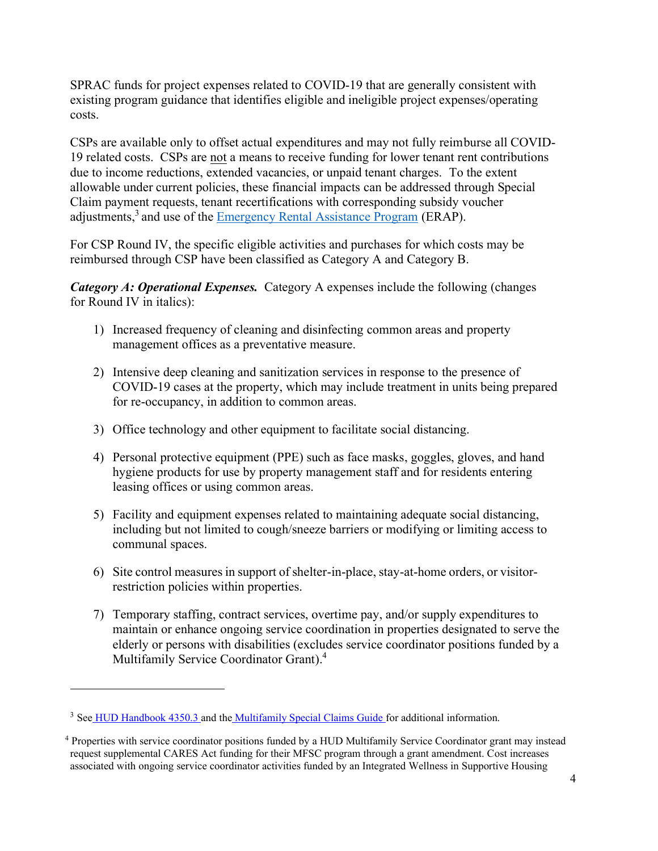SPRAC funds for project expenses related to COVID-19 that are generally consistent with existing program guidance that identifies eligible and ineligible project expenses/operating costs.

CSPs are available only to offset actual expenditures and may not fully reimburse all COVID-19 related costs. CSPs are not a means to receive funding for lower tenant rent contributions due to income reductions, extended vacancies, or unpaid tenant charges. To the extent allowable under current policies, these financial impacts can be addressed through Special Claim payment requests, tenant recertifications with corresponding subsidy voucher adjustments,<sup>3</sup> and use of the **Emergency Rental Assistance Program** (ERAP).

For CSP Round IV, the specific eligible activities and purchases for which costs may be reimbursed through CSP have been classified as Category A and Category B.

*Category A: Operational Expenses.* Category A expenses include the following (changes for Round IV in italics):

- 1) Increased frequency of cleaning and disinfecting common areas and property management offices as a preventative measure.
- 2) Intensive deep cleaning and sanitization services in response to the presence of COVID-19 cases at the property, which may include treatment in units being prepared for re-occupancy, in addition to common areas.
- 3) Office technology and other equipment to facilitate social distancing.
- 4) Personal protective equipment (PPE) such as face masks, goggles, gloves, and hand hygiene products for use by property management staff and for residents entering leasing offices or using common areas.
- 5) Facility and equipment expenses related to maintaining adequate social distancing, including but not limited to cough/sneeze barriers or modifying or limiting access to communal spaces.
- 6) Site control measures in support of shelter-in-place, stay-at-home orders, or visitorrestriction policies within properties.
- 7) Temporary staffing, contract services, overtime pay, and/or supply expenditures to maintain or enhance ongoing service coordination in properties designated to serve the elderly or persons with disabilities (excludes service coordinator positions funded by a Multifamily Service Coordinator Grant).<sup>4</sup>

<sup>&</sup>lt;sup>3</sup> See [HUD Handbook 4350.3](https://www.hud.gov/program_offices/administration/hudclips/handbooks/hsgh/4350.3) and the [Multifamily Special Claims Guide](https://www.hud.gov/sites/documents/HSG-06-01GC1GUID.PDF) for additional information.

<sup>4</sup> Properties with service coordinator positions funded by a HUD Multifamily Service Coordinator grant may instead request supplemental CARES Act funding for their MFSC program through a grant amendment. Cost increases associated with ongoing service coordinator activities funded by an Integrated Wellness in Supportive Housing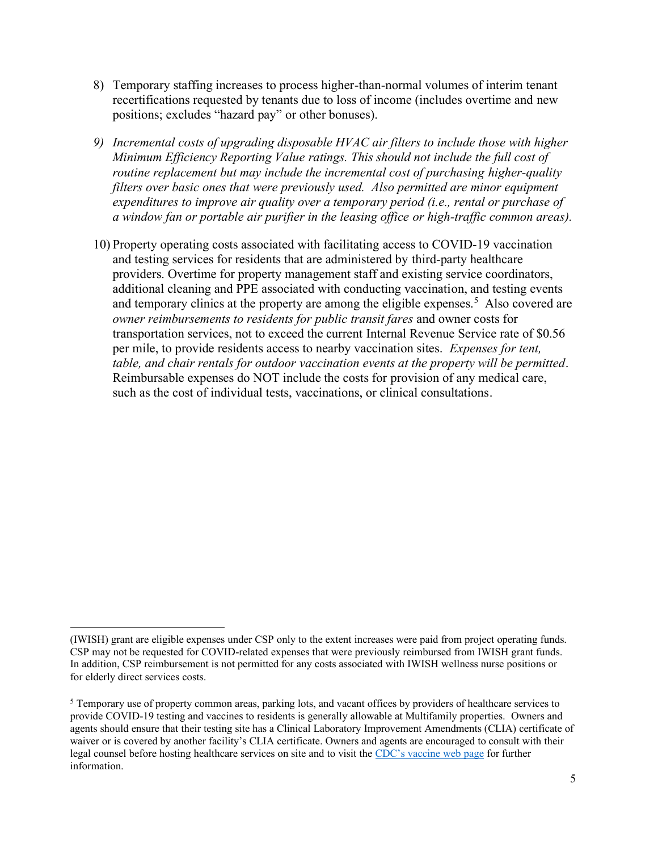- 8) Temporary staffing increases to process higher-than-normal volumes of interim tenant recertifications requested by tenants due to loss of income (includes overtime and new positions; excludes "hazard pay" or other bonuses).
- *9) Incremental costs of upgrading disposable HVAC air filters to include those with higher Minimum Efficiency Reporting Value ratings. This should not include the full cost of routine replacement but may include the incremental cost of purchasing higher-quality filters over basic ones that were previously used. Also permitted are minor equipment expenditures to improve air quality over a temporary period (i.e., rental or purchase of a window fan or portable air purifier in the leasing office or high-traffic common areas).*
- 10) Property operating costs associated with facilitating access to COVID-19 vaccination and testing services for residents that are administered by third-party healthcare providers. Overtime for property management staff and existing service coordinators, additional cleaning and PPE associated with conducting vaccination, and testing events and temporary clinics at the property are among the eligible expenses.<sup>5</sup> Also covered are *owner reimbursements to residents for public transit fares* and owner costs for transportation services, not to exceed the current Internal Revenue Service rate of \$0.56 per mile, to provide residents access to nearby vaccination sites. *Expenses for tent, table, and chair rentals for outdoor vaccination events at the property will be permitted*. Reimbursable expenses do NOT include the costs for provision of any medical care, such as the cost of individual tests, vaccinations, or clinical consultations.

<sup>(</sup>IWISH) grant are eligible expenses under CSP only to the extent increases were paid from project operating funds. CSP may not be requested for COVID-related expenses that were previously reimbursed from IWISH grant funds. In addition, CSP reimbursement is not permitted for any costs associated with IWISH wellness nurse positions or for elderly direct services costs.

 $<sup>5</sup>$  Temporary use of property common areas, parking lots, and vacant offices by providers of healthcare services to</sup> provide COVID-19 testing and vaccines to residents is generally allowable at Multifamily properties. Owners and agents should ensure that their testing site has a Clinical Laboratory Improvement Amendments (CLIA) certificate of waiver or is covered by another facility's CLIA certificate. Owners and agents are encouraged to consult with their legal counsel before hosting healthcare services on site and to visit the [CDC's vaccine web page](https://www.cdc.gov/vaccines/covid-19/index.html) for further information.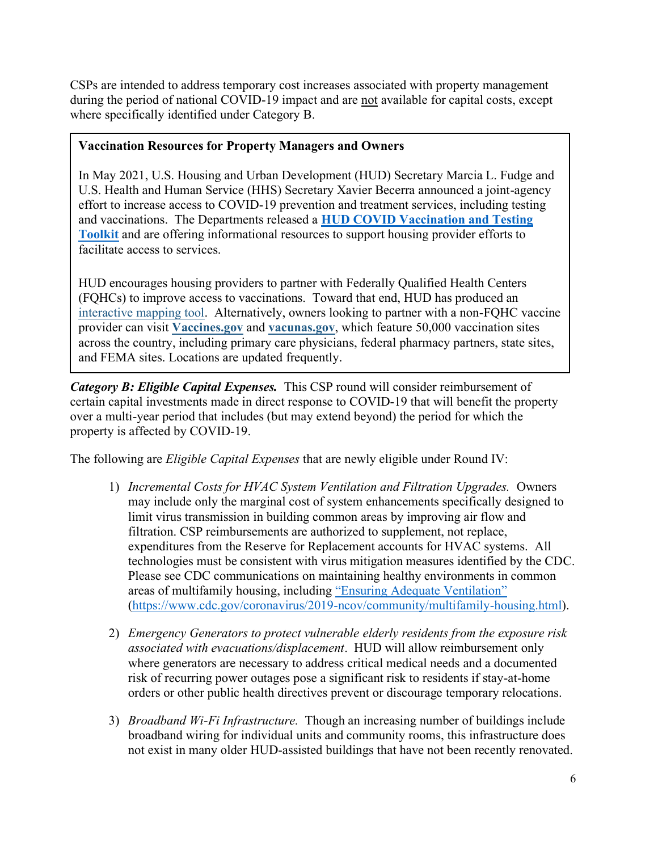CSPs are intended to address temporary cost increases associated with property management during the period of national COVID-19 impact and are not available for capital costs, except where specifically identified under Category B.

### **Vaccination Resources for Property Managers and Owners**

In May 2021, U.S. Housing and Urban Development (HUD) Secretary Marcia L. Fudge and U.S. Health and Human Service (HHS) Secretary Xavier Becerra announced a joint-agency effort to increase access to COVID-19 prevention and treatment services, including testing and vaccinations. The Departments released a **[HUD COVID Vaccination and Testing](https://www.hud.gov/sites/dfiles/Main/documents/HHS-HUD-COVID-19-Vaccinations-Toolkit.pdf)  [Toolkit](https://www.hud.gov/sites/dfiles/Main/documents/HHS-HUD-COVID-19-Vaccinations-Toolkit.pdf)** and are offering informational resources to support housing provider efforts to facilitate access to services.

HUD encourages housing providers to partner with Federally Qualified Health Centers (FQHCs) to improve access to vaccinations. Toward that end, HUD has produced an [interactive mapping tool.](https://lnks.gd/l/eyJhbGciOiJIUzI1NiJ9.eyJidWxsZXRpbl9saW5rX2lkIjoxMDUsInVyaSI6ImJwMjpjbGljayIsImJ1bGxldGluX2lkIjoiMjAyMTA1MTAuNDAyMjUwMDEiLCJ1cmwiOiJodHRwczovL2h1ZC5tYXBzLmFyY2dpcy5jb20vaG9tZS93ZWJtYXAvdmlld2VyLmh0bWw_ZXh0ZW50PS0xNDQuMjMwMSUyQzExLjc0MDglMkMtMzYuMzAwNSUyQzU4LjMzMzkmdXRtX21lZGl1bT1lbWFpbCZ1dG1fc291cmNlPWdvdmRlbGl2ZXJ5JndlYm1hcD01ZDk3OTgyZTMzYjM0ZDdmODE5NTY1YWMxZTlmODNkOCJ9.8CcHS_KewJWRRckMRUQCZ7nOQWM9oDxUvQ7zke8CDfA/s/1356785023/br/106147159081-l) Alternatively, owners looking to partner with a non-FQHC vaccine provider can visit **[Vaccines.gov](https://lnks.gd/l/eyJhbGciOiJIUzI1NiJ9.eyJidWxsZXRpbl9saW5rX2lkIjoxMDcsInVyaSI6ImJwMjpjbGljayIsImJ1bGxldGluX2lkIjoiMjAyMTA1MTAuNDAyMjUwMDEiLCJ1cmwiOiJodHRwczovL2NsaWNrLmNvbm5lY3QuaGhzLmdvdi8_cXM9MDA0ZmUzZjVhNWNmMWRjOTM2M2M4MGYzM2YzYjZhMDAxOTU0OWNkZTIwM2MwNzQ2OTNmNDU5ZjI5ZDllYTRiOTliOTIzZWZiNTA1ODA5OWQ1MTE4MjIzMzQ1ZGMxZmRiNmYxYzRmMjUyYjlkNjA5NSZ1dG1fbWVkaXVtPWVtYWlsJnV0bV9zb3VyY2U9Z292ZGVsaXZlcnkifQ.18tzmBCx3HSnZspT3oW2QWor8du2HG654HGILjNXRps/s/1356785023/br/106147159081-l)** and **[vacunas.gov](https://lnks.gd/l/eyJhbGciOiJIUzI1NiJ9.eyJidWxsZXRpbl9saW5rX2lkIjoxMDgsInVyaSI6ImJwMjpjbGljayIsImJ1bGxldGluX2lkIjoiMjAyMTA1MTAuNDAyMjUwMDEiLCJ1cmwiOiJodHRwczovL2NsaWNrLmNvbm5lY3QuaGhzLmdvdi8_cXM9MDA0ZmUzZjVhNWNmMWRjOTExMjA3MDI4OWFkZGNmZDFmNmE2MTNmN2ZiMGRhMzRkMTk5NTY2YjhiMWQxMzExZmUyZGNkNGY0ZmQ3NGE4OWFhMDgyNGNmZTc0YjMwZjY2ZjM2YWQ1MjAzYjkzYjVhMyZ1dG1fbWVkaXVtPWVtYWlsJnV0bV9zb3VyY2U9Z292ZGVsaXZlcnkifQ.2XeHii0zfsAyWdQMZWezrtD55t_HkmIyLnxUaJMxotQ/s/1356785023/br/106147159081-l)**, which feature 50,000 vaccination sites across the country, including primary care physicians, federal pharmacy partners, state sites, and FEMA sites. Locations are updated frequently.

*Category B: Eligible Capital Expenses.* This CSP round will consider reimbursement of certain capital investments made in direct response to COVID-19 that will benefit the property over a multi-year period that includes (but may extend beyond) the period for which the property is affected by COVID-19.

The following are *Eligible Capital Expenses* that are newly eligible under Round IV:

- 1) *Incremental Costs for HVAC System Ventilation and Filtration Upgrades.* Owners may include only the marginal cost of system enhancements specifically designed to limit virus transmission in building common areas by improving air flow and filtration. CSP reimbursements are authorized to supplement, not replace, expenditures from the Reserve for Replacement accounts for HVAC systems. All technologies must be consistent with virus mitigation measures identified by the CDC. Please see CDC communications on maintaining healthy environments in common areas of multifamily housing, including "[Ensuring Adequate Ventilation](https://www.cdc.gov/coronavirus/2019-ncov/community/multifamily-housing.html)" [\(https://www.cdc.gov/coronavirus/2019-ncov/community/multifamily-housing.html\)](https://www.cdc.gov/coronavirus/2019-ncov/community/multifamily-housing.html).
- 2) *Emergency Generators to protect vulnerable elderly residents from the exposure risk associated with evacuations/displacement*. HUD will allow reimbursement only where generators are necessary to address critical medical needs and a documented risk of recurring power outages pose a significant risk to residents if stay-at-home orders or other public health directives prevent or discourage temporary relocations.
- 3) *Broadband Wi-Fi Infrastructure.* Though an increasing number of buildings include broadband wiring for individual units and community rooms, this infrastructure does not exist in many older HUD-assisted buildings that have not been recently renovated.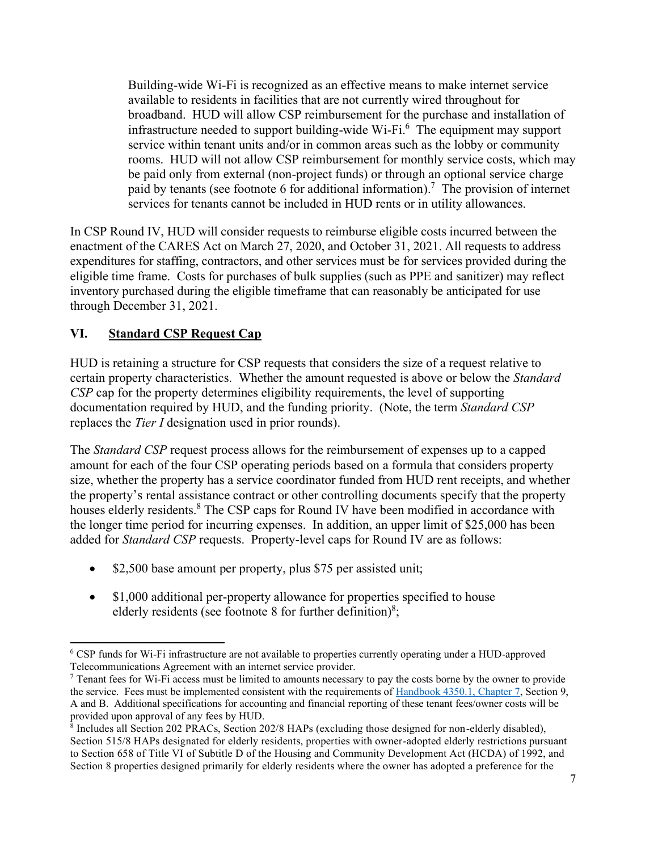Building-wide Wi-Fi is recognized as an effective means to make internet service available to residents in facilities that are not currently wired throughout for broadband. HUD will allow CSP reimbursement for the purchase and installation of infrastructure needed to support building-wide Wi-Fi. <sup>6</sup> The equipment may support service within tenant units and/or in common areas such as the lobby or community rooms. HUD will not allow CSP reimbursement for monthly service costs, which may be paid only from external (non-project funds) or through an optional service charge paid by tenants (see footnote 6 for additional information).<sup>7</sup> The provision of internet services for tenants cannot be included in HUD rents or in utility allowances.

In CSP Round IV, HUD will consider requests to reimburse eligible costs incurred between the enactment of the CARES Act on March 27, 2020, and October 31, 2021. All requests to address expenditures for staffing, contractors, and other services must be for services provided during the eligible time frame. Costs for purchases of bulk supplies (such as PPE and sanitizer) may reflect inventory purchased during the eligible timeframe that can reasonably be anticipated for use through December 31, 2021.

## **VI. Standard CSP Request Cap**

HUD is retaining a structure for CSP requests that considers the size of a request relative to certain property characteristics. Whether the amount requested is above or below the *Standard CSP* cap for the property determines eligibility requirements, the level of supporting documentation required by HUD, and the funding priority. (Note, the term *Standard CSP* replaces the *Tier I* designation used in prior rounds).

The *Standard CSP* request process allows for the reimbursement of expenses up to a capped amount for each of the four CSP operating periods based on a formula that considers property size, whether the property has a service coordinator funded from HUD rent receipts, and whether the property's rental assistance contract or other controlling documents specify that the property houses elderly residents.<sup>8</sup> The CSP caps for Round IV have been modified in accordance with the longer time period for incurring expenses. In addition, an upper limit of \$25,000 has been added for *Standard CSP* requests. Property-level caps for Round IV are as follows:

- \$2,500 base amount per property, plus \$75 per assisted unit;
- \$1,000 additional per-property allowance for properties specified to house elderly residents (see footnote 8 for further definition) $8$ ;

<sup>&</sup>lt;sup>6</sup> CSP funds for Wi-Fi infrastructure are not available to properties currently operating under a HUD-approved Telecommunications Agreement with an internet service provider.

 $7$  Tenant fees for Wi-Fi access must be limited to amounts necessary to pay the costs borne by the owner to provide the service. Fees must be implemented consistent with the requirements of [Handbook 4350.1, Chapter 7,](https://www.hud.gov/sites/documents/DOC_25304.PDF) Section 9, A and B. Additional specifications for accounting and financial reporting of these tenant fees/owner costs will be provided upon approval of any fees by HUD.

<sup>8</sup> Includes all Section 202 PRACs, Section 202/8 HAPs (excluding those designed for non-elderly disabled), Section 515/8 HAPs designated for elderly residents, properties with owner-adopted elderly restrictions pursuant to Section 658 of Title VI of Subtitle D of the Housing and Community Development Act (HCDA) of 1992, and Section 8 properties designed primarily for elderly residents where the owner has adopted a preference for the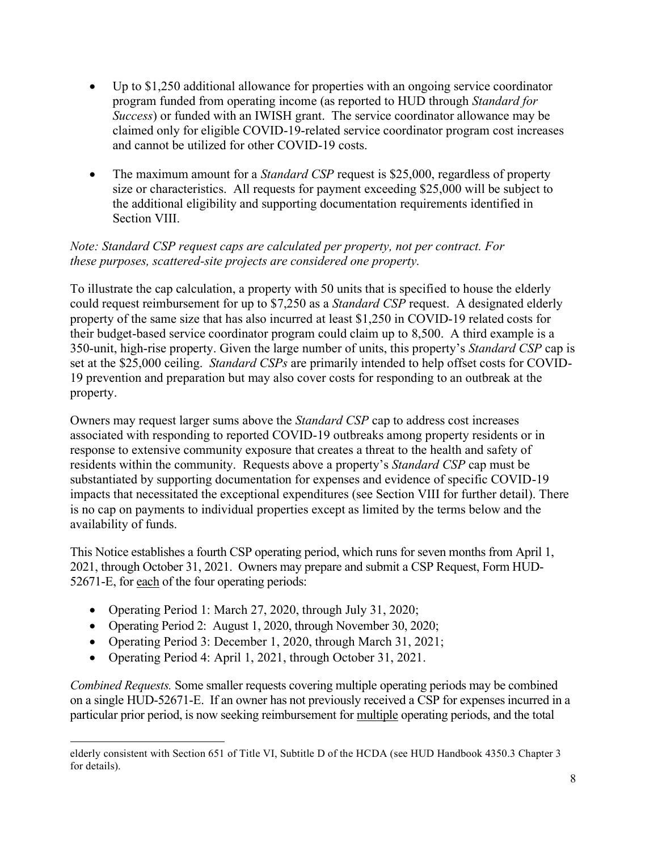- Up to \$1,250 additional allowance for properties with an ongoing service coordinator program funded from operating income (as reported to HUD through *Standard for Success*) or funded with an IWISH grant. The service coordinator allowance may be claimed only for eligible COVID-19-related service coordinator program cost increases and cannot be utilized for other COVID-19 costs.
- The maximum amount for a *Standard CSP* request is \$25,000, regardless of property size or characteristics. All requests for payment exceeding \$25,000 will be subject to the additional eligibility and supporting documentation requirements identified in Section VIII.

## *Note: Standard CSP request caps are calculated per property, not per contract. For these purposes, scattered-site projects are considered one property.*

To illustrate the cap calculation, a property with 50 units that is specified to house the elderly could request reimbursement for up to \$7,250 as a *Standard CSP* request. A designated elderly property of the same size that has also incurred at least \$1,250 in COVID-19 related costs for their budget-based service coordinator program could claim up to 8,500. A third example is a 350-unit, high-rise property. Given the large number of units, this property's *Standard CSP* cap is set at the \$25,000 ceiling. *Standard CSPs* are primarily intended to help offset costs for COVID-19 prevention and preparation but may also cover costs for responding to an outbreak at the property.

Owners may request larger sums above the *Standard CSP* cap to address cost increases associated with responding to reported COVID-19 outbreaks among property residents or in response to extensive community exposure that creates a threat to the health and safety of residents within the community. Requests above a property's *Standard CSP* cap must be substantiated by supporting documentation for expenses and evidence of specific COVID-19 impacts that necessitated the exceptional expenditures (see Section VIII for further detail). There is no cap on payments to individual properties except as limited by the terms below and the availability of funds.

This Notice establishes a fourth CSP operating period, which runs for seven months from April 1, 2021, through October 31, 2021. Owners may prepare and submit a CSP Request, Form HUD-52671-E, for each of the four operating periods:

- Operating Period 1: March 27, 2020, through July 31, 2020;
- Operating Period 2: August 1, 2020, through November 30, 2020;
- Operating Period 3: December 1, 2020, through March 31, 2021;
- Operating Period 4: April 1, 2021, through October 31, 2021.

*Combined Requests.* Some smaller requests covering multiple operating periods may be combined on a single HUD-52671-E. If an owner has not previously received a CSP for expenses incurred in a particular prior period, is now seeking reimbursement for multiple operating periods, and the total

elderly consistent with Section 651 of Title VI, Subtitle D of the HCDA (see HUD Handbook 4350.3 Chapter 3 for details).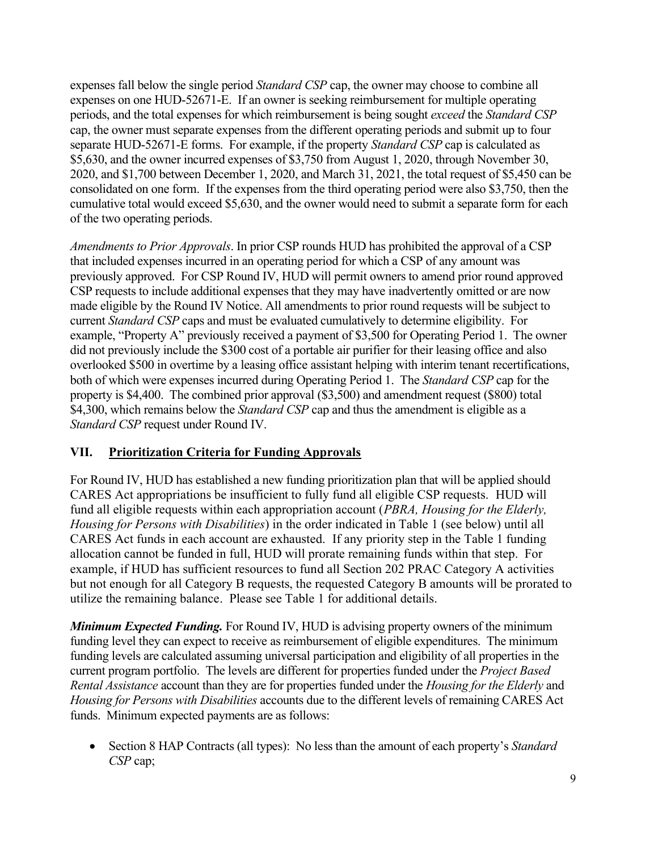expenses fall below the single period *Standard CSP* cap, the owner may choose to combine all expenses on one HUD-52671-E. If an owner is seeking reimbursement for multiple operating periods, and the total expenses for which reimbursement is being sought *exceed* the *Standard CSP* cap, the owner must separate expenses from the different operating periods and submit up to four separate HUD-52671-E forms. For example, if the property *Standard CSP* cap is calculated as \$5,630, and the owner incurred expenses of \$3,750 from August 1, 2020, through November 30, 2020, and \$1,700 between December 1, 2020, and March 31, 2021, the total request of \$5,450 can be consolidated on one form. If the expenses from the third operating period were also \$3,750, then the cumulative total would exceed \$5,630, and the owner would need to submit a separate form for each of the two operating periods.

*Amendments to Prior Approvals*. In prior CSP rounds HUD has prohibited the approval of a CSP that included expenses incurred in an operating period for which a CSP of any amount was previously approved. For CSP Round IV, HUD will permit owners to amend prior round approved CSP requests to include additional expenses that they may have inadvertently omitted or are now made eligible by the Round IV Notice. All amendments to prior round requests will be subject to current *Standard CSP* caps and must be evaluated cumulatively to determine eligibility. For example, "Property A" previously received a payment of \$3,500 for Operating Period 1. The owner did not previously include the \$300 cost of a portable air purifier for their leasing office and also overlooked \$500 in overtime by a leasing office assistant helping with interim tenant recertifications, both of which were expenses incurred during Operating Period 1. The *Standard CSP* cap for the property is \$4,400. The combined prior approval (\$3,500) and amendment request (\$800) total \$4,300, which remains below the *Standard CSP* cap and thus the amendment is eligible as a *Standard CSP* request under Round IV.

### **VII. Prioritization Criteria for Funding Approvals**

For Round IV, HUD has established a new funding prioritization plan that will be applied should CARES Act appropriations be insufficient to fully fund all eligible CSP requests. HUD will fund all eligible requests within each appropriation account (*PBRA, Housing for the Elderly, Housing for Persons with Disabilities*) in the order indicated in Table 1 (see below) until all CARES Act funds in each account are exhausted. If any priority step in the Table 1 funding allocation cannot be funded in full, HUD will prorate remaining funds within that step. For example, if HUD has sufficient resources to fund all Section 202 PRAC Category A activities but not enough for all Category B requests, the requested Category B amounts will be prorated to utilize the remaining balance. Please see Table 1 for additional details.

*Minimum Expected Funding.* For Round IV, HUD is advising property owners of the minimum funding level they can expect to receive as reimbursement of eligible expenditures. The minimum funding levels are calculated assuming universal participation and eligibility of all properties in the current program portfolio. The levels are different for properties funded under the *Project Based Rental Assistance* account than they are for properties funded under the *Housing for the Elderly* and *Housing for Persons with Disabilities* accounts due to the different levels of remaining CARES Act funds. Minimum expected payments are as follows:

• Section 8 HAP Contracts (all types): No less than the amount of each property's *Standard CSP* cap;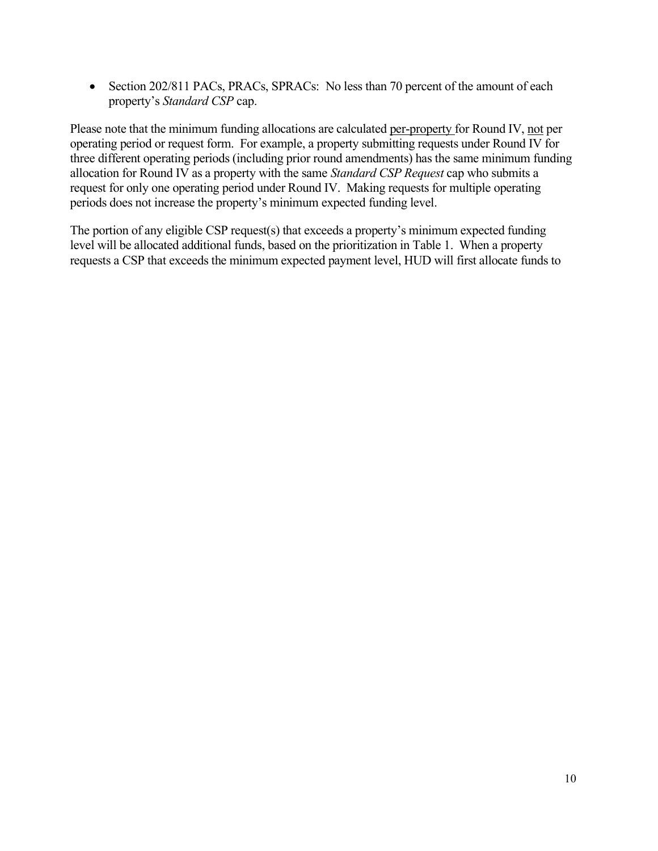• Section 202/811 PACs, PRACs, SPRACs: No less than 70 percent of the amount of each property's *Standard CSP* cap.

Please note that the minimum funding allocations are calculated per-property for Round IV, not per operating period or request form. For example, a property submitting requests under Round IV for three different operating periods (including prior round amendments) has the same minimum funding allocation for Round IV as a property with the same *Standard CSP Request* cap who submits a request for only one operating period under Round IV. Making requests for multiple operating periods does not increase the property's minimum expected funding level.

The portion of any eligible CSP request(s) that exceeds a property's minimum expected funding level will be allocated additional funds, based on the prioritization in Table 1. When a property requests a CSP that exceeds the minimum expected payment level, HUD will first allocate funds to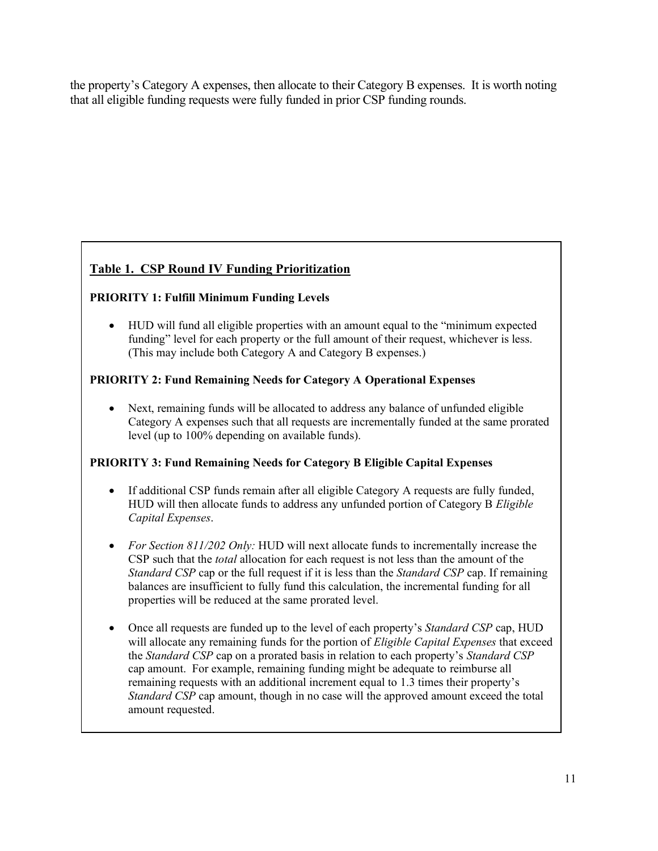the property's Category A expenses, then allocate to their Category B expenses. It is worth noting that all eligible funding requests were fully funded in prior CSP funding rounds.

# **Table 1. CSP Round IV Funding Prioritization**

### **PRIORITY 1: Fulfill Minimum Funding Levels**

• HUD will fund all eligible properties with an amount equal to the "minimum expected funding" level for each property or the full amount of their request, whichever is less. (This may include both Category A and Category B expenses.)

### **PRIORITY 2: Fund Remaining Needs for Category A Operational Expenses**

• Next, remaining funds will be allocated to address any balance of unfunded eligible Category A expenses such that all requests are incrementally funded at the same prorated level (up to 100% depending on available funds).

#### **PRIORITY 3: Fund Remaining Needs for Category B Eligible Capital Expenses**

- If additional CSP funds remain after all eligible Category A requests are fully funded, HUD will then allocate funds to address any unfunded portion of Category B *Eligible Capital Expenses*.
- *For Section 811/202 Only:* HUD will next allocate funds to incrementally increase the CSP such that the *total* allocation for each request is not less than the amount of the *Standard CSP* cap or the full request if it is less than the *Standard CSP* cap. If remaining balances are insufficient to fully fund this calculation, the incremental funding for all properties will be reduced at the same prorated level.
- Once all requests are funded up to the level of each property's *Standard CSP* cap, HUD will allocate any remaining funds for the portion of *Eligible Capital Expenses* that exceed the *Standard CSP* cap on a prorated basis in relation to each property's *Standard CSP*  cap amount. For example, remaining funding might be adequate to reimburse all remaining requests with an additional increment equal to 1.3 times their property's *Standard CSP* cap amount, though in no case will the approved amount exceed the total amount requested.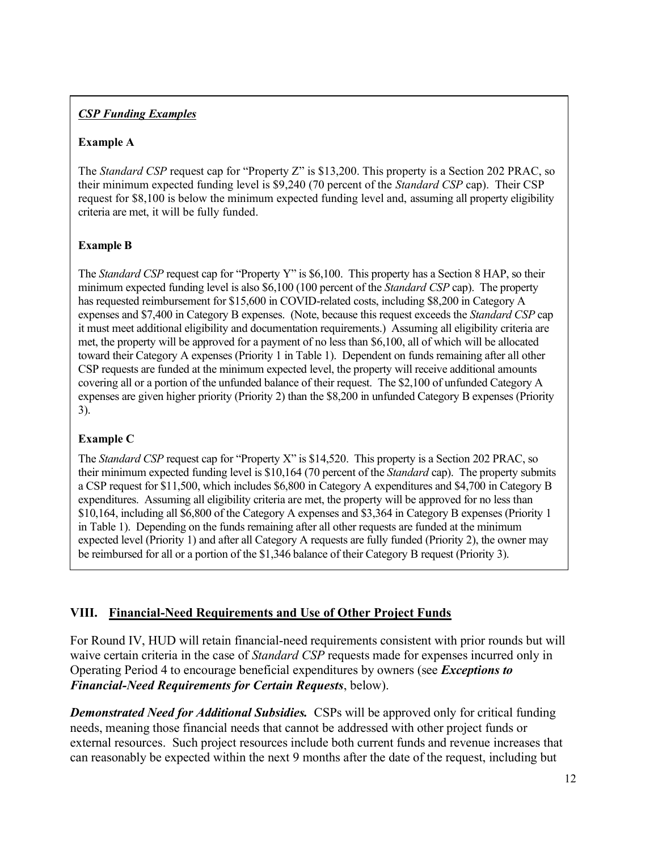### *CSP Funding Examples*

#### **Example A**

The *Standard CSP* request cap for "Property Z" is \$13,200. This property is a Section 202 PRAC, so their minimum expected funding level is \$9,240 (70 percent of the *Standard CSP* cap). Their CSP request for \$8,100 is below the minimum expected funding level and, assuming all property eligibility criteria are met, it will be fully funded.

#### **Example B**

The *Standard CSP* request cap for "Property Y" is \$6,100. This property has a Section 8 HAP, so their minimum expected funding level is also \$6,100 (100 percent of the *Standard CSP* cap). The property has requested reimbursement for \$15,600 in COVID-related costs, including \$8,200 in Category A expenses and \$7,400 in Category B expenses. (Note, because this request exceeds the *Standard CSP* cap it must meet additional eligibility and documentation requirements.) Assuming all eligibility criteria are met, the property will be approved for a payment of no less than \$6,100, all of which will be allocated toward their Category A expenses (Priority 1 in Table 1). Dependent on funds remaining after all other CSP requests are funded at the minimum expected level, the property will receive additional amounts covering all or a portion of the unfunded balance of their request. The \$2,100 of unfunded Category A expenses are given higher priority (Priority 2) than the \$8,200 in unfunded Category B expenses (Priority 3).

#### **Example C**

The *Standard CSP* request cap for "Property X" is \$14,520. This property is a Section 202 PRAC, so their minimum expected funding level is \$10,164 (70 percent of the *Standard* cap). The property submits a CSP request for \$11,500, which includes \$6,800 in Category A expenditures and \$4,700 in Category B expenditures. Assuming all eligibility criteria are met, the property will be approved for no less than \$10,164, including all \$6,800 of the Category A expenses and \$3,364 in Category B expenses (Priority 1 in Table 1). Depending on the funds remaining after all other requests are funded at the minimum expected level (Priority 1) and after all Category A requests are fully funded (Priority 2), the owner may be reimbursed for all or a portion of the \$1,346 balance of their Category B request (Priority 3).

#### **VIII. Financial-Need Requirements and Use of Other Project Funds**

For Round IV, HUD will retain financial-need requirements consistent with prior rounds but will waive certain criteria in the case of *Standard CSP* requests made for expenses incurred only in Operating Period 4 to encourage beneficial expenditures by owners (see *Exceptions to Financial-Need Requirements for Certain Requests*, below).

*Demonstrated Need for Additional Subsidies.* CSPs will be approved only for critical funding needs, meaning those financial needs that cannot be addressed with other project funds or external resources. Such project resources include both current funds and revenue increases that can reasonably be expected within the next 9 months after the date of the request, including but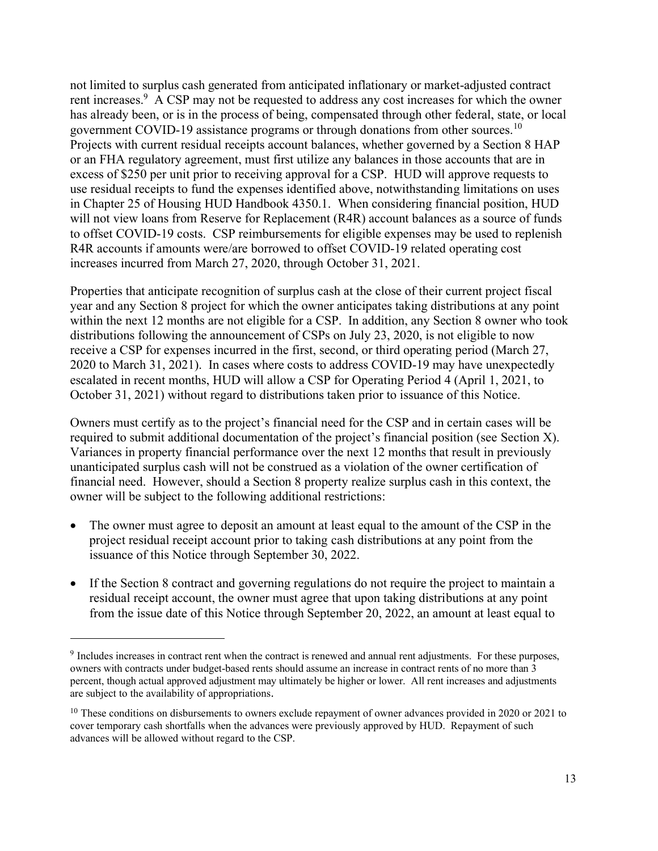not limited to surplus cash generated from anticipated inflationary or market-adjusted contract rent increases.<sup>9</sup> A CSP may not be requested to address any cost increases for which the owner has already been, or is in the process of being, compensated through other federal, state, or local government COVID-19 assistance programs or through donations from other sources.<sup>10</sup> Projects with current residual receipts account balances, whether governed by a Section 8 HAP or an FHA regulatory agreement, must first utilize any balances in those accounts that are in excess of \$250 per unit prior to receiving approval for a CSP. HUD will approve requests to use residual receipts to fund the expenses identified above, notwithstanding limitations on uses in Chapter 25 of Housing HUD Handbook 4350.1. When considering financial position, HUD will not view loans from Reserve for Replacement (R4R) account balances as a source of funds to offset COVID-19 costs. CSP reimbursements for eligible expenses may be used to replenish R4R accounts if amounts were/are borrowed to offset COVID-19 related operating cost increases incurred from March 27, 2020, through October 31, 2021.

Properties that anticipate recognition of surplus cash at the close of their current project fiscal year and any Section 8 project for which the owner anticipates taking distributions at any point within the next 12 months are not eligible for a CSP. In addition, any Section 8 owner who took distributions following the announcement of CSPs on July 23, 2020, is not eligible to now receive a CSP for expenses incurred in the first, second, or third operating period (March 27, 2020 to March 31, 2021). In cases where costs to address COVID-19 may have unexpectedly escalated in recent months, HUD will allow a CSP for Operating Period 4 (April 1, 2021, to October 31, 2021) without regard to distributions taken prior to issuance of this Notice.

Owners must certify as to the project's financial need for the CSP and in certain cases will be required to submit additional documentation of the project's financial position (see Section X). Variances in property financial performance over the next 12 months that result in previously unanticipated surplus cash will not be construed as a violation of the owner certification of financial need. However, should a Section 8 property realize surplus cash in this context, the owner will be subject to the following additional restrictions:

- The owner must agree to deposit an amount at least equal to the amount of the CSP in the project residual receipt account prior to taking cash distributions at any point from the issuance of this Notice through September 30, 2022.
- If the Section 8 contract and governing regulations do not require the project to maintain a residual receipt account, the owner must agree that upon taking distributions at any point from the issue date of this Notice through September 20, 2022, an amount at least equal to

<sup>&</sup>lt;sup>9</sup> Includes increases in contract rent when the contract is renewed and annual rent adjustments. For these purposes, owners with contracts under budget-based rents should assume an increase in contract rents of no more than 3 percent, though actual approved adjustment may ultimately be higher or lower. All rent increases and adjustments are subject to the availability of appropriations.

<sup>&</sup>lt;sup>10</sup> These conditions on disbursements to owners exclude repayment of owner advances provided in 2020 or 2021 to cover temporary cash shortfalls when the advances were previously approved by HUD. Repayment of such advances will be allowed without regard to the CSP.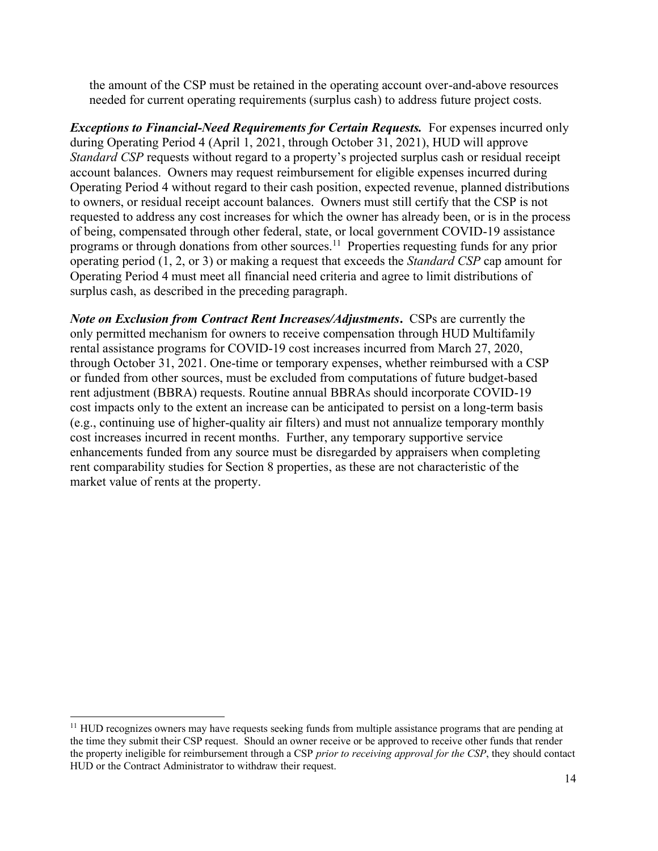the amount of the CSP must be retained in the operating account over-and-above resources needed for current operating requirements (surplus cash) to address future project costs.

*Exceptions to Financial-Need Requirements for Certain Requests.* For expenses incurred only during Operating Period 4 (April 1, 2021, through October 31, 2021), HUD will approve *Standard CSP* requests without regard to a property's projected surplus cash or residual receipt account balances. Owners may request reimbursement for eligible expenses incurred during Operating Period 4 without regard to their cash position, expected revenue, planned distributions to owners, or residual receipt account balances. Owners must still certify that the CSP is not requested to address any cost increases for which the owner has already been, or is in the process of being, compensated through other federal, state, or local government COVID-19 assistance programs or through donations from other sources.<sup>11</sup> Properties requesting funds for any prior operating period (1, 2, or 3) or making a request that exceeds the *Standard CSP* cap amount for Operating Period 4 must meet all financial need criteria and agree to limit distributions of surplus cash, as described in the preceding paragraph.

*Note on Exclusion from Contract Rent Increases/Adjustments***.** CSPs are currently the only permitted mechanism for owners to receive compensation through HUD Multifamily rental assistance programs for COVID-19 cost increases incurred from March 27, 2020, through October 31, 2021. One-time or temporary expenses, whether reimbursed with a CSP or funded from other sources, must be excluded from computations of future budget-based rent adjustment (BBRA) requests. Routine annual BBRAs should incorporate COVID-19 cost impacts only to the extent an increase can be anticipated to persist on a long-term basis (e.g., continuing use of higher-quality air filters) and must not annualize temporary monthly cost increases incurred in recent months. Further, any temporary supportive service enhancements funded from any source must be disregarded by appraisers when completing rent comparability studies for Section 8 properties, as these are not characteristic of the market value of rents at the property.

 $11$  HUD recognizes owners may have requests seeking funds from multiple assistance programs that are pending at the time they submit their CSP request. Should an owner receive or be approved to receive other funds that render the property ineligible for reimbursement through a CSP *prior to receiving approval for the CSP*, they should contact HUD or the Contract Administrator to withdraw their request.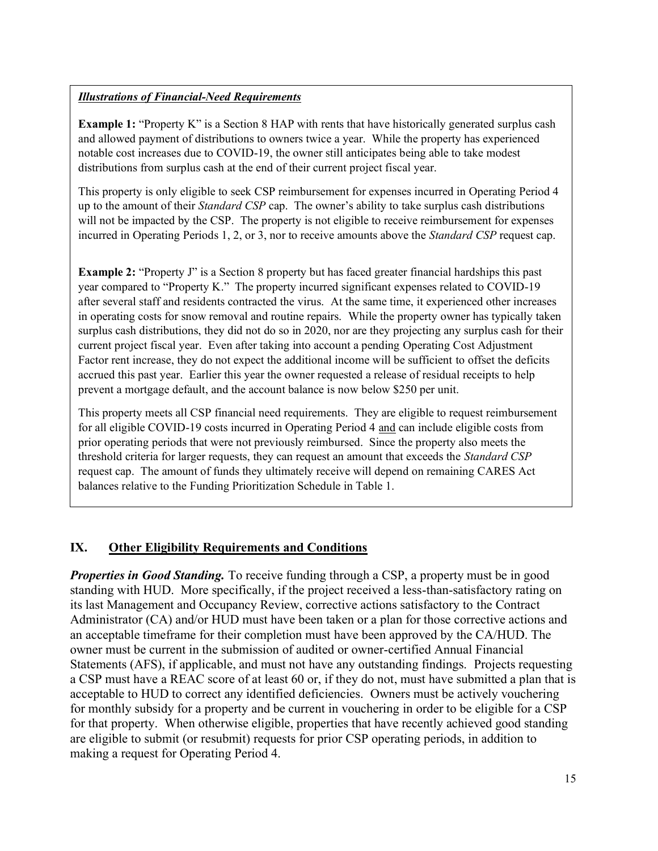#### *Illustrations of Financial-Need Requirements*

**Example 1:** "Property K" is a Section 8 HAP with rents that have historically generated surplus cash and allowed payment of distributions to owners twice a year. While the property has experienced notable cost increases due to COVID-19, the owner still anticipates being able to take modest distributions from surplus cash at the end of their current project fiscal year.

This property is only eligible to seek CSP reimbursement for expenses incurred in Operating Period 4 up to the amount of their *Standard CSP* cap. The owner's ability to take surplus cash distributions will not be impacted by the CSP. The property is not eligible to receive reimbursement for expenses incurred in Operating Periods 1, 2, or 3, nor to receive amounts above the *Standard CSP* request cap.

**Example 2:** "Property J" is a Section 8 property but has faced greater financial hardships this past year compared to "Property K." The property incurred significant expenses related to COVID-19 after several staff and residents contracted the virus. At the same time, it experienced other increases in operating costs for snow removal and routine repairs. While the property owner has typically taken surplus cash distributions, they did not do so in 2020, nor are they projecting any surplus cash for their current project fiscal year. Even after taking into account a pending Operating Cost Adjustment Factor rent increase, they do not expect the additional income will be sufficient to offset the deficits accrued this past year. Earlier this year the owner requested a release of residual receipts to help prevent a mortgage default, and the account balance is now below \$250 per unit.

This property meets all CSP financial need requirements. They are eligible to request reimbursement for all eligible COVID-19 costs incurred in Operating Period 4 and can include eligible costs from prior operating periods that were not previously reimbursed. Since the property also meets the threshold criteria for larger requests, they can request an amount that exceeds the *Standard CSP*  request cap. The amount of funds they ultimately receive will depend on remaining CARES Act balances relative to the Funding Prioritization Schedule in Table 1.

### **IX. Other Eligibility Requirements and Conditions**

*Properties in Good Standing.* To receive funding through a CSP, a property must be in good standing with HUD. More specifically, if the project received a less-than-satisfactory rating on its last Management and Occupancy Review, corrective actions satisfactory to the Contract Administrator (CA) and/or HUD must have been taken or a plan for those corrective actions and an acceptable timeframe for their completion must have been approved by the CA/HUD. The owner must be current in the submission of audited or owner-certified Annual Financial Statements (AFS), if applicable, and must not have any outstanding findings. Projects requesting a CSP must have a REAC score of at least 60 or, if they do not, must have submitted a plan that is acceptable to HUD to correct any identified deficiencies. Owners must be actively vouchering for monthly subsidy for a property and be current in vouchering in order to be eligible for a CSP for that property. When otherwise eligible, properties that have recently achieved good standing are eligible to submit (or resubmit) requests for prior CSP operating periods, in addition to making a request for Operating Period 4.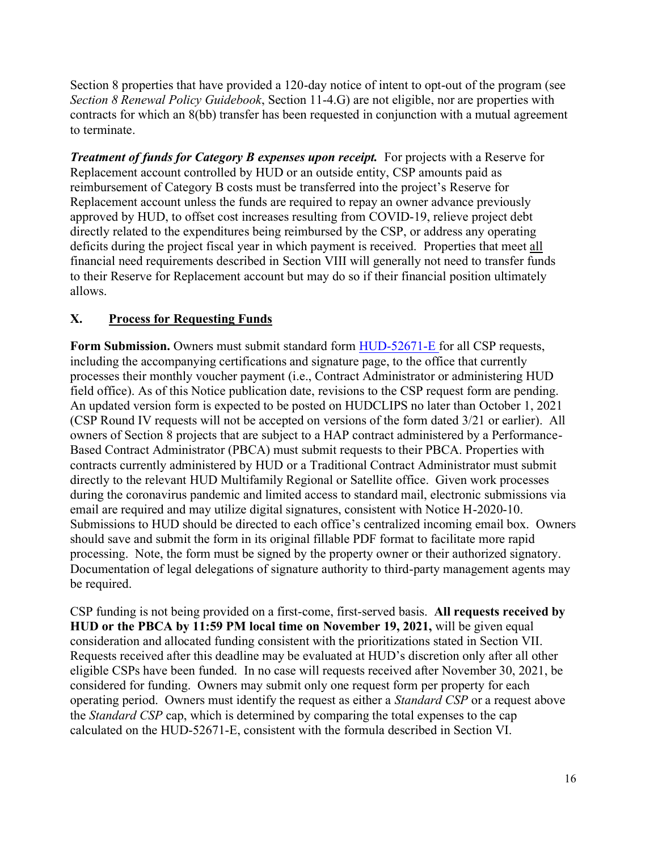Section 8 properties that have provided a 120-day notice of intent to opt-out of the program (see *Section 8 Renewal Policy Guidebook*, Section 11-4.G) are not eligible, nor are properties with contracts for which an 8(bb) transfer has been requested in conjunction with a mutual agreement to terminate.

*Treatment of funds for Category B expenses upon receipt.* For projects with a Reserve for Replacement account controlled by HUD or an outside entity, CSP amounts paid as reimbursement of Category B costs must be transferred into the project's Reserve for Replacement account unless the funds are required to repay an owner advance previously approved by HUD, to offset cost increases resulting from COVID-19, relieve project debt directly related to the expenditures being reimbursed by the CSP, or address any operating deficits during the project fiscal year in which payment is received. Properties that meet all financial need requirements described in Section VIII will generally not need to transfer funds to their Reserve for Replacement account but may do so if their financial position ultimately allows.

# **X. Process for Requesting Funds**

Form Submission. Owners must submit standard form [HUD-52671-E](https://www.hud.gov/program_offices/administration/hudclips/forms/hud5a) for all CSP requests, including the accompanying certifications and signature page, to the office that currently processes their monthly voucher payment (i.e., Contract Administrator or administering HUD field office). As of this Notice publication date, revisions to the CSP request form are pending. An updated version form is expected to be posted on HUDCLIPS no later than October 1, 2021 (CSP Round IV requests will not be accepted on versions of the form dated 3/21 or earlier). All owners of Section 8 projects that are subject to a HAP contract administered by a Performance-Based Contract Administrator (PBCA) must submit requests to their PBCA. Properties with contracts currently administered by HUD or a Traditional Contract Administrator must submit directly to the relevant HUD Multifamily Regional or Satellite office. Given work processes during the coronavirus pandemic and limited access to standard mail, electronic submissions via email are required and may utilize digital signatures, consistent with Notice H-2020-10. Submissions to HUD should be directed to each office's centralized incoming email box. Owners should save and submit the form in its original fillable PDF format to facilitate more rapid processing. Note, the form must be signed by the property owner or their authorized signatory. Documentation of legal delegations of signature authority to third-party management agents may be required.

CSP funding is not being provided on a first-come, first-served basis. **All requests received by HUD or the PBCA by 11:59 PM local time on November 19, 2021,** will be given equal consideration and allocated funding consistent with the prioritizations stated in Section VII. Requests received after this deadline may be evaluated at HUD's discretion only after all other eligible CSPs have been funded. In no case will requests received after November 30, 2021, be considered for funding. Owners may submit only one request form per property for each operating period. Owners must identify the request as either a *Standard CSP* or a request above the *Standard CSP* cap, which is determined by comparing the total expenses to the cap calculated on the HUD-52671-E, consistent with the formula described in Section VI.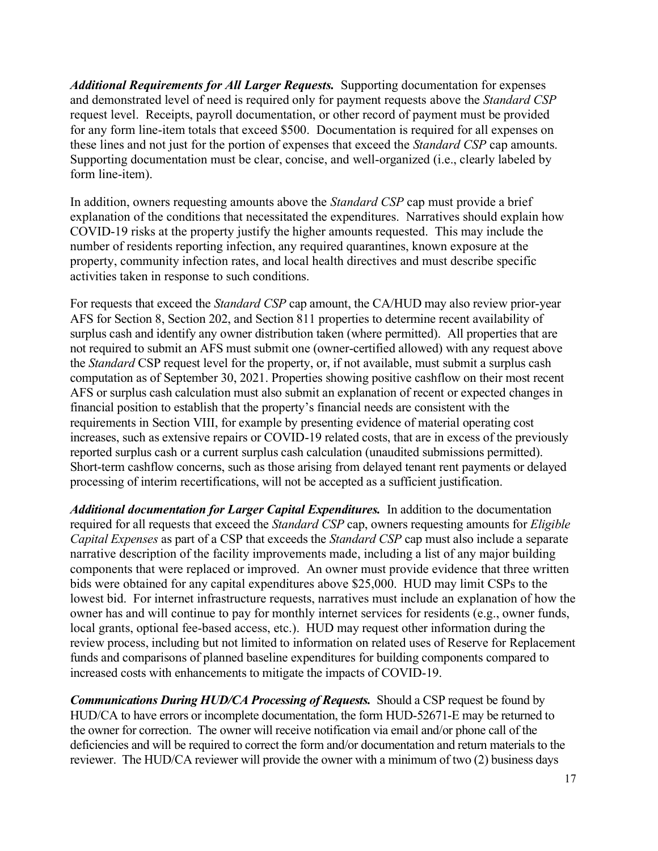*Additional Requirements for All Larger Requests.* Supporting documentation for expenses and demonstrated level of need is required only for payment requests above the *Standard CSP*  request level. Receipts, payroll documentation, or other record of payment must be provided for any form line-item totals that exceed \$500. Documentation is required for all expenses on these lines and not just for the portion of expenses that exceed the *Standard CSP* cap amounts. Supporting documentation must be clear, concise, and well-organized (i.e., clearly labeled by form line-item).

In addition, owners requesting amounts above the *Standard CSP* cap must provide a brief explanation of the conditions that necessitated the expenditures. Narratives should explain how COVID-19 risks at the property justify the higher amounts requested. This may include the number of residents reporting infection, any required quarantines, known exposure at the property, community infection rates, and local health directives and must describe specific activities taken in response to such conditions.

For requests that exceed the *Standard CSP* cap amount, the CA/HUD may also review prior-year AFS for Section 8, Section 202, and Section 811 properties to determine recent availability of surplus cash and identify any owner distribution taken (where permitted). All properties that are not required to submit an AFS must submit one (owner-certified allowed) with any request above the *Standard* CSP request level for the property, or, if not available, must submit a surplus cash computation as of September 30, 2021. Properties showing positive cashflow on their most recent AFS or surplus cash calculation must also submit an explanation of recent or expected changes in financial position to establish that the property's financial needs are consistent with the requirements in Section VIII, for example by presenting evidence of material operating cost increases, such as extensive repairs or COVID-19 related costs, that are in excess of the previously reported surplus cash or a current surplus cash calculation (unaudited submissions permitted). Short-term cashflow concerns, such as those arising from delayed tenant rent payments or delayed processing of interim recertifications, will not be accepted as a sufficient justification.

*Additional documentation for Larger Capital Expenditures.* In addition to the documentation required for all requests that exceed the *Standard CSP* cap, owners requesting amounts for *Eligible Capital Expenses* as part of a CSP that exceeds the *Standard CSP* cap must also include a separate narrative description of the facility improvements made, including a list of any major building components that were replaced or improved. An owner must provide evidence that three written bids were obtained for any capital expenditures above \$25,000. HUD may limit CSPs to the lowest bid. For internet infrastructure requests, narratives must include an explanation of how the owner has and will continue to pay for monthly internet services for residents (e.g., owner funds, local grants, optional fee-based access, etc.). HUD may request other information during the review process, including but not limited to information on related uses of Reserve for Replacement funds and comparisons of planned baseline expenditures for building components compared to increased costs with enhancements to mitigate the impacts of COVID-19.

*Communications During HUD/CA Processing of Requests.* Should a CSP request be found by HUD/CA to have errors or incomplete documentation, the form HUD-52671-E may be returned to the owner for correction. The owner will receive notification via email and/or phone call of the deficiencies and will be required to correct the form and/or documentation and return materials to the reviewer. The HUD/CA reviewer will provide the owner with a minimum of two (2) business days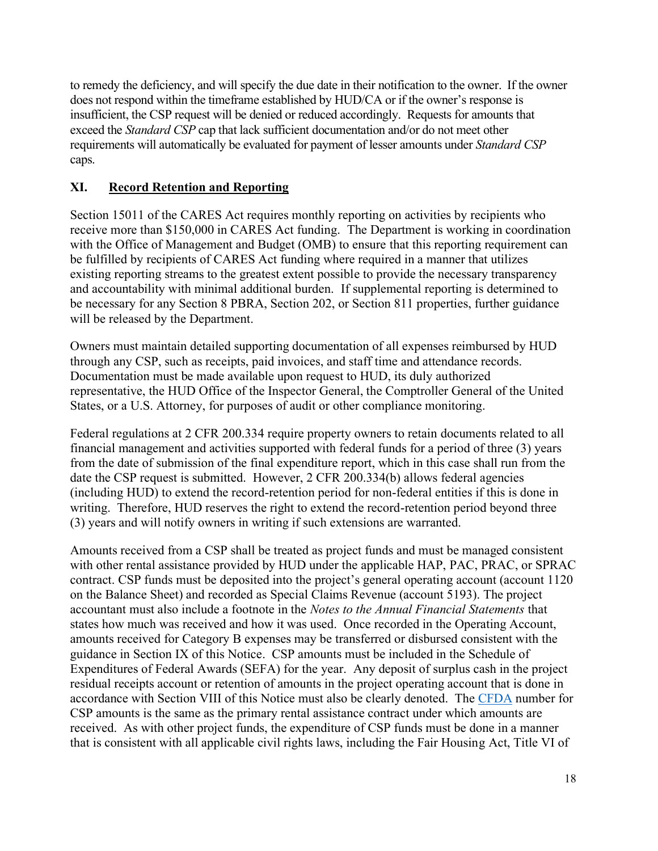to remedy the deficiency, and will specify the due date in their notification to the owner. If the owner does not respond within the timeframe established by HUD/CA or if the owner's response is insufficient, the CSP request will be denied or reduced accordingly. Requests for amounts that exceed the *Standard CSP* cap that lack sufficient documentation and/or do not meet other requirements will automatically be evaluated for payment of lesser amounts under *Standard CSP* caps.

# **XI. Record Retention and Reporting**

Section 15011 of the CARES Act requires monthly reporting on activities by recipients who receive more than \$150,000 in CARES Act funding. The Department is working in coordination with the Office of Management and Budget (OMB) to ensure that this reporting requirement can be fulfilled by recipients of CARES Act funding where required in a manner that utilizes existing reporting streams to the greatest extent possible to provide the necessary transparency and accountability with minimal additional burden. If supplemental reporting is determined to be necessary for any Section 8 PBRA, Section 202, or Section 811 properties, further guidance will be released by the Department.

Owners must maintain detailed supporting documentation of all expenses reimbursed by HUD through any CSP, such as receipts, paid invoices, and staff time and attendance records. Documentation must be made available upon request to HUD, its duly authorized representative, the HUD Office of the Inspector General, the Comptroller General of the United States, or a U.S. Attorney, for purposes of audit or other compliance monitoring.

Federal regulations at 2 CFR 200.334 require property owners to retain documents related to all financial management and activities supported with federal funds for a period of three (3) years from the date of submission of the final expenditure report, which in this case shall run from the date the CSP request is submitted. However, 2 CFR 200.334(b) allows federal agencies (including HUD) to extend the record-retention period for non-federal entities if this is done in writing. Therefore, HUD reserves the right to extend the record-retention period beyond three (3) years and will notify owners in writing if such extensions are warranted.

Amounts received from a CSP shall be treated as project funds and must be managed consistent with other rental assistance provided by HUD under the applicable HAP, PAC, PRAC, or SPRAC contract. CSP funds must be deposited into the project's general operating account (account 1120 on the Balance Sheet) and recorded as Special Claims Revenue (account 5193). The project accountant must also include a footnote in the *Notes to the Annual Financial Statements* that states how much was received and how it was used. Once recorded in the Operating Account, amounts received for Category B expenses may be transferred or disbursed consistent with the guidance in Section IX of this Notice. CSP amounts must be included in the Schedule of Expenditures of Federal Awards (SEFA) for the year. Any deposit of surplus cash in the project residual receipts account or retention of amounts in the project operating account that is done in accordance with Section VIII of this Notice must also be clearly denoted. The [CFDA](https://sam.gov/content/assistance-listings) number for CSP amounts is the same as the primary rental assistance contract under which amounts are received. As with other project funds, the expenditure of CSP funds must be done in a manner that is consistent with all applicable civil rights laws, including the Fair Housing Act, Title VI of